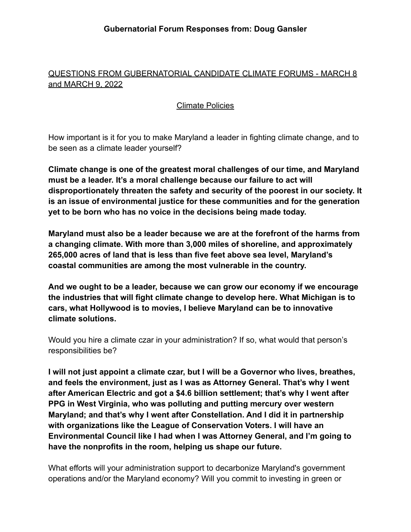# QUESTIONS FROM GUBERNATORIAL CANDIDATE CLIMATE FORUMS - MARCH 8 and MARCH 9, 2022

## Climate Policies

How important is it for you to make Maryland a leader in fighting climate change, and to be seen as a climate leader yourself?

**Climate change is one of the greatest moral challenges of our time, and Maryland must be a leader. It's a moral challenge because our failure to act will disproportionately threaten the safety and security of the poorest in our society. It is an issue of environmental justice for these communities and for the generation yet to be born who has no voice in the decisions being made today.**

**Maryland must also be a leader because we are at the forefront of the harms from a changing climate. With more than 3,000 miles of shoreline, and approximately 265,000 acres of land that is less than five feet above sea level, Maryland's coastal communities are among the most vulnerable in the country.**

**And we ought to be a leader, because we can grow our economy if we encourage the industries that will fight climate change to develop here. What Michigan is to cars, what Hollywood is to movies, I believe Maryland can be to innovative climate solutions.**

Would you hire a climate czar in your administration? If so, what would that person's responsibilities be?

**I will not just appoint a climate czar, but I will be a Governor who lives, breathes, and feels the environment, just as I was as Attorney General. That's why I went after American Electric and got a \$4.6 billion settlement; that's why I went after PPG in West Virginia, who was polluting and putting mercury over western Maryland; and that's why I went after Constellation. And I did it in partnership with organizations like the League of Conservation Voters. I will have an Environmental Council like I had when I was Attorney General, and I'm going to have the nonprofits in the room, helping us shape our future.**

What efforts will your administration support to decarbonize Maryland's government operations and/or the Maryland economy? Will you commit to investing in green or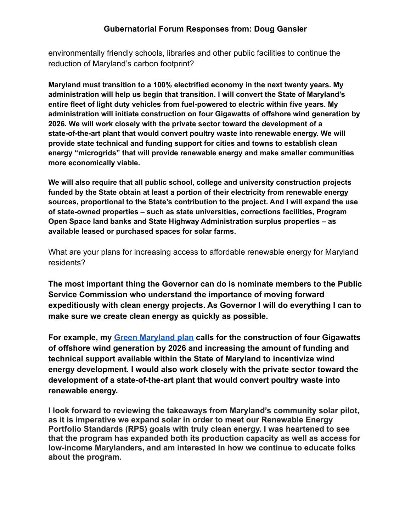#### **Gubernatorial Forum Responses from: Doug Gansler**

environmentally friendly schools, libraries and other public facilities to continue the reduction of Maryland's carbon footprint?

**Maryland must transition to a 100% electrified economy in the next twenty years. My administration will help us begin that transition. I will convert the State of Maryland's entire fleet of light duty vehicles from fuel-powered to electric within five years. My administration will initiate construction on four Gigawatts of offshore wind generation by 2026. We will work closely with the private sector toward the development of a state-of-the-art plant that would convert poultry waste into renewable energy. We will provide state technical and funding support for cities and towns to establish clean energy "microgrids" that will provide renewable energy and make smaller communities more economically viable.**

**We will also require that all public school, college and university construction projects funded by the State obtain at least a portion of their electricity from renewable energy sources, proportional to the State's contribution to the project. And I will expand the use of state-owned properties – such as state universities, corrections facilities, Program Open Space land banks and State Highway Administration surplus properties – as available leased or purchased spaces for solar farms.**

What are your plans for increasing access to affordable renewable energy for Maryland residents?

**The most important thing the Governor can do is nominate members to the Public Service Commission who understand the importance of moving forward expeditiously with clean energy projects. As Governor I will do everything I can to make sure we create clean energy as quickly as possible.**

**For example, my [Green Maryland plan](https://douggansler.com/green-maryland/) calls for the construction of four Gigawatts of offshore wind generation by 2026 and increasing the amount of funding and technical support available within the State of Maryland to incentivize wind energy development. I would also work closely with the private sector toward the development of a state-of-the-art plant that would convert poultry waste into renewable energy.**

**I look forward to reviewing the takeaways from Maryland's community solar pilot, as it is imperative we expand solar in order to meet our Renewable Energy Portfolio Standards (RPS) goals with truly clean energy. I was heartened to see that the program has expanded both its production capacity as well as access for low-income Marylanders, and am interested in how we continue to educate folks about the program.**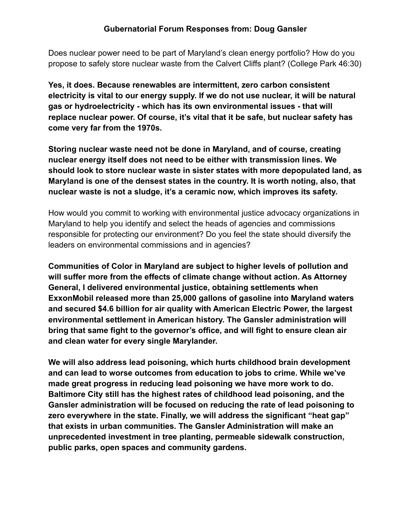Does nuclear power need to be part of Maryland's clean energy portfolio? How do you propose to safely store nuclear waste from the Calvert Cliffs plant? (College Park 46:30)

**Yes, it does. Because renewables are intermittent, zero carbon consistent electricity is vital to our energy supply. If we do not use nuclear, it will be natural gas or hydroelectricity - which has its own environmental issues - that will replace nuclear power. Of course, it's vital that it be safe, but nuclear safety has come very far from the 1970s.**

**Storing nuclear waste need not be done in Maryland, and of course, creating nuclear energy itself does not need to be either with transmission lines. We should look to store nuclear waste in sister states with more depopulated land, as Maryland is one of the densest states in the country. It is worth noting, also, that nuclear waste is not a sludge, it's a ceramic now, which improves its safety.**

How would you commit to working with environmental justice advocacy organizations in Maryland to help you identify and select the heads of agencies and commissions responsible for protecting our environment? Do you feel the state should diversify the leaders on environmental commissions and in agencies?

**Communities of Color in Maryland are subject to higher levels of pollution and will suffer more from the effects of climate change without action. As Attorney General, I delivered environmental justice, obtaining settlements when ExxonMobil released more than 25,000 gallons of gasoline into Maryland waters and secured \$4.6 billion for air quality with American Electric Power, the largest environmental settlement in American history. The Gansler administration will bring that same fight to the governor's office, and will fight to ensure clean air and clean water for every single Marylander.**

**We will also address lead poisoning, which hurts childhood brain development and can lead to worse outcomes from education to jobs to crime. While we've made great progress in reducing lead poisoning we have more work to do. Baltimore City still has the highest rates of childhood lead poisoning, and the Gansler administration will be focused on reducing the rate of lead poisoning to zero everywhere in the state. Finally, we will address the significant "heat gap" that exists in urban communities. The Gansler Administration will make an unprecedented investment in tree planting, permeable sidewalk construction, public parks, open spaces and community gardens.**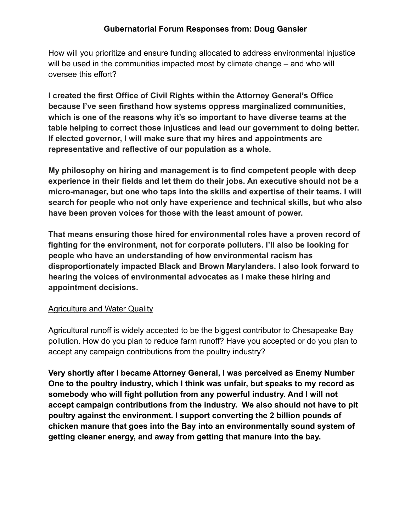### **Gubernatorial Forum Responses from: Doug Gansler**

How will you prioritize and ensure funding allocated to address environmental injustice will be used in the communities impacted most by climate change – and who will oversee this effort?

**I created the first Office of Civil Rights within the Attorney General's Office because I've seen firsthand how systems oppress marginalized communities, which is one of the reasons why it's so important to have diverse teams at the table helping to correct those injustices and lead our government to doing better. If elected governor, I will make sure that my hires and appointments are representative and reflective of our population as a whole.**

**My philosophy on hiring and management is to find competent people with deep experience in their fields and let them do their jobs. An executive should not be a micro-manager, but one who taps into the skills and expertise of their teams. I will search for people who not only have experience and technical skills, but who also have been proven voices for those with the least amount of power.**

**That means ensuring those hired for environmental roles have a proven record of fighting for the environment, not for corporate polluters. I'll also be looking for people who have an understanding of how environmental racism has disproportionately impacted Black and Brown Marylanders. I also look forward to hearing the voices of environmental advocates as I make these hiring and appointment decisions.**

### Agriculture and Water Quality

Agricultural runoff is widely accepted to be the biggest contributor to Chesapeake Bay pollution. How do you plan to reduce farm runoff? Have you accepted or do you plan to accept any campaign contributions from the poultry industry?

**Very shortly after I became Attorney General, I was perceived as Enemy Number One to the poultry industry, which I think was unfair, but speaks to my record as somebody who will fight pollution from any powerful industry. And I will not accept campaign contributions from the industry. We also should not have to pit poultry against the environment. I support converting the 2 billion pounds of chicken manure that goes into the Bay into an environmentally sound system of getting cleaner energy, and away from getting that manure into the bay.**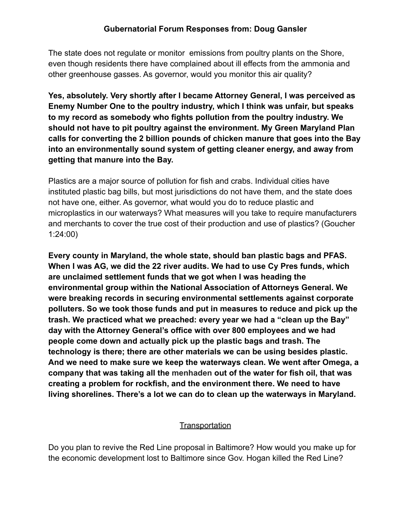The state does not regulate or monitor emissions from poultry plants on the Shore, even though residents there have complained about ill effects from the ammonia and other greenhouse gasses. As governor, would you monitor this air quality?

**Yes, absolutely. Very shortly after I became Attorney General, I was perceived as Enemy Number One to the poultry industry, which I think was unfair, but speaks to my record as somebody who fights pollution from the poultry industry. We should not have to pit poultry against the environment. My Green Maryland Plan calls for converting the 2 billion pounds of chicken manure that goes into the Bay into an environmentally sound system of getting cleaner energy, and away from getting that manure into the Bay.**

Plastics are a major source of pollution for fish and crabs. Individual cities have instituted plastic bag bills, but most jurisdictions do not have them, and the state does not have one, either. As governor, what would you do to reduce plastic and microplastics in our waterways? What measures will you take to require manufacturers and merchants to cover the true cost of their production and use of plastics? (Goucher 1:24:00)

**Every county in Maryland, the whole state, should ban plastic bags and PFAS. When I was AG, we did the 22 river audits. We had to use Cy Pres funds, which are unclaimed settlement funds that we got when I was heading the environmental group within the National Association of Attorneys General. We were breaking records in securing environmental settlements against corporate polluters. So we took those funds and put in measures to reduce and pick up the trash. We practiced what we preached: every year we had a "clean up the Bay" day with the Attorney General's office with over 800 employees and we had people come down and actually pick up the plastic bags and trash. The technology is there; there are other materials we can be using besides plastic. And we need to make sure we keep the waterways clean. We went after Omega, a company that was taking all the menhaden out of the water for fish oil, that was creating a problem for rockfish, and the environment there. We need to have living shorelines. There's a lot we can do to clean up the waterways in Maryland.**

### **Transportation**

Do you plan to revive the Red Line proposal in Baltimore? How would you make up for the economic development lost to Baltimore since Gov. Hogan killed the Red Line?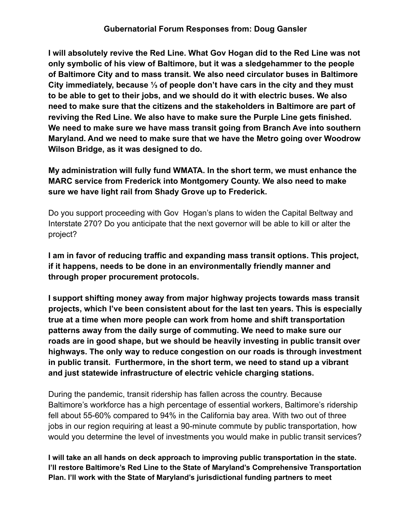#### **Gubernatorial Forum Responses from: Doug Gansler**

**I will absolutely revive the Red Line. What Gov Hogan did to the Red Line was not only symbolic of his view of Baltimore, but it was a sledgehammer to the people of Baltimore City and to mass transit. We also need circulator buses in Baltimore City immediately, because ⅓ of people don't have cars in the city and they must to be able to get to their jobs, and we should do it with electric buses. We also need to make sure that the citizens and the stakeholders in Baltimore are part of reviving the Red Line. We also have to make sure the Purple Line gets finished. We need to make sure we have mass transit going from Branch Ave into southern Maryland. And we need to make sure that we have the Metro going over Woodrow Wilson Bridge, as it was designed to do.**

**My administration will fully fund WMATA. In the short term, we must enhance the MARC service from Frederick into Montgomery County. We also need to make sure we have light rail from Shady Grove up to Frederick.**

Do you support proceeding with Gov Hogan's plans to widen the Capital Beltway and Interstate 270? Do you anticipate that the next governor will be able to kill or alter the project?

**I am in favor of reducing traffic and expanding mass transit options. This project, if it happens, needs to be done in an environmentally friendly manner and through proper procurement protocols.**

**I support shifting money away from major highway projects towards mass transit projects, which I've been consistent about for the last ten years. This is especially true at a time when more people can work from home and shift transportation patterns away from the daily surge of commuting. We need to make sure our roads are in good shape, but we should be heavily investing in public transit over highways. The only way to reduce congestion on our roads is through investment in public transit. Furthermore, in the short term, we need to stand up a vibrant and just statewide infrastructure of electric vehicle charging stations.**

During the pandemic, transit ridership has fallen across the country. Because Baltimore's workforce has a high percentage of essential workers, Baltimore's ridership fell about 55-60% compared to 94% in the California bay area. With two out of three jobs in our region requiring at least a 90-minute commute by public transportation, how would you determine the level of investments you would make in public transit services?

**I will take an all hands on deck approach to improving public transportation in the state. I'll restore Baltimore's Red Line to the State of Maryland's Comprehensive Transportation Plan. I'll work with the State of Maryland's jurisdictional funding partners to meet**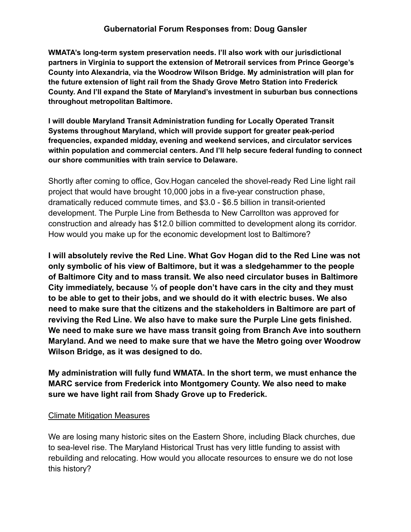**WMATA's long-term system preservation needs. I'll also work with our jurisdictional partners in Virginia to support the extension of Metrorail services from Prince George's County into Alexandria, via the Woodrow Wilson Bridge. My administration will plan for the future extension of light rail from the Shady Grove Metro Station into Frederick County. And I'll expand the State of Maryland's investment in suburban bus connections throughout metropolitan Baltimore.**

**I will double Maryland Transit Administration funding for Locally Operated Transit Systems throughout Maryland, which will provide support for greater peak-period frequencies, expanded midday, evening and weekend services, and circulator services within population and commercial centers. And I'll help secure federal funding to connect our shore communities with train service to Delaware.**

Shortly after coming to office, Gov.Hogan canceled the shovel-ready Red Line light rail project that would have brought 10,000 jobs in a five-year construction phase, dramatically reduced commute times, and \$3.0 - \$6.5 billion in transit-oriented development. The Purple Line from Bethesda to New Carrollton was approved for construction and already has \$12.0 billion committed to development along its corridor. How would you make up for the economic development lost to Baltimore?

**I will absolutely revive the Red Line. What Gov Hogan did to the Red Line was not only symbolic of his view of Baltimore, but it was a sledgehammer to the people of Baltimore City and to mass transit. We also need circulator buses in Baltimore City immediately, because ⅓ of people don't have cars in the city and they must to be able to get to their jobs, and we should do it with electric buses. We also need to make sure that the citizens and the stakeholders in Baltimore are part of reviving the Red Line. We also have to make sure the Purple Line gets finished. We need to make sure we have mass transit going from Branch Ave into southern Maryland. And we need to make sure that we have the Metro going over Woodrow Wilson Bridge, as it was designed to do.**

**My administration will fully fund WMATA. In the short term, we must enhance the MARC service from Frederick into Montgomery County. We also need to make sure we have light rail from Shady Grove up to Frederick.**

# Climate Mitigation Measures

We are losing many historic sites on the Eastern Shore, including Black churches, due to sea-level rise. The Maryland Historical Trust has very little funding to assist with rebuilding and relocating. How would you allocate resources to ensure we do not lose this history?